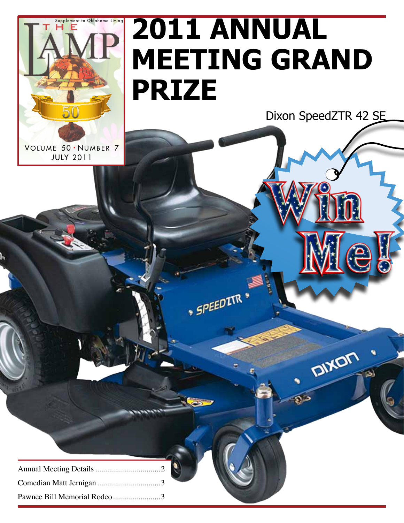

# **2011 Annual meeting grand prize**

**SPEEDITR** 

Dixon SpeedZTR 42 SE

DIXON

۹

VOLUME 50 · NUMBER 7 JULY 2011

| Pawnee Bill Memorial Rodeo3 |
|-----------------------------|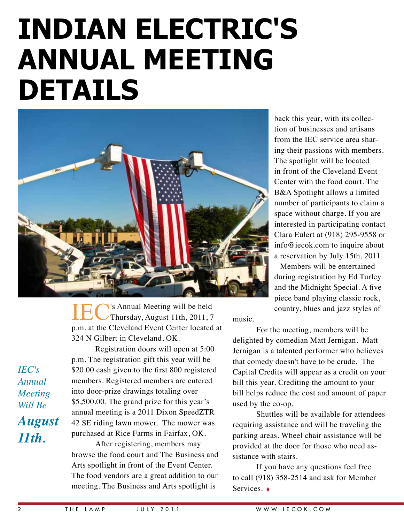### **Indian Electric's annual meeting details**



IEC's 's Annual Meeting will be held Thursday, August 11th, 2011, 7 p.m. at the Cleveland Event Center located at 324 N Gilbert in Cleveland, OK.

*IEC's Annual Meeting Will Be August 11th.*

Registration doors will open at 5:00 p.m. The registration gift this year will be \$20.00 cash given to the first 800 registered members. Registered members are entered into door-prize drawings totaling over \$5,500.00. The grand prize for this year's annual meeting is a 2011 Dixon SpeedZTR 42 SE riding lawn mower. The mower was purchased at Rice Farms in Fairfax, OK.

After registering, members may browse the food court and The Business and Arts spotlight in front of the Event Center. The food vendors are a great addition to our meeting. The Business and Arts spotlight is

back this year, with its collection of businesses and artisans from the IEC service area sharing their passions with members. The spotlight will be located in front of the Cleveland Event Center with the food court. The B&A Spotlight allows a limited number of participants to claim a space without charge. If you are interested in participating contact Clara Eulert at (918) 295-9558 or info@iecok.com to inquire about a reservation by July 15th, 2011.

Members will be entertained during registration by Ed Turley and the Midnight Special. A five piece band playing classic rock, country, blues and jazz styles of

music.

For the meeting, members will be delighted by comedian Matt Jernigan. Matt Jernigan is a talented performer who believes that comedy doesn't have to be crude. The Capital Credits will appear as a credit on your bill this year. Crediting the amount to your bill helps reduce the cost and amount of paper used by the co-op.

Shuttles will be available for attendees requiring assistance and will be traveling the parking areas. Wheel chair assistance will be provided at the door for those who need assistance with stairs.

If you have any questions feel free to call (918) 358-2514 and ask for Member Services. ♦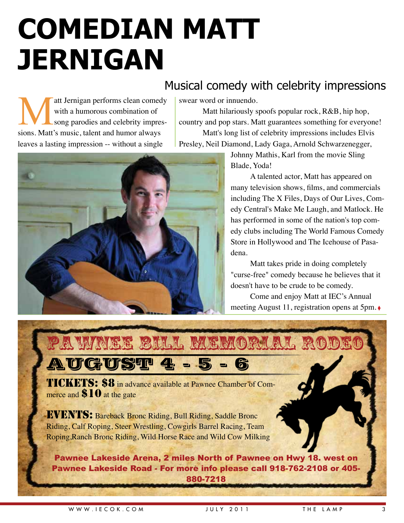# **Comedian Matt Jernigan**

### Musical comedy with celebrity impressions

att Jernigan performs clean comedy<br>with a humorous combination of<br>song parodies and celebrity impres-<br>sions. Matt's music, talent and humor always with a humorous combination of song parodies and celebrity impressions. Matt's music, talent and humor always leaves a lasting impression -- without a single

swear word or innuendo.

Matt hilariously spoofs popular rock, R&B, hip hop, country and pop stars. Matt guarantees something for everyone! Matt's long list of celebrity impressions includes Elvis Presley, Neil Diamond, Lady Gaga, Arnold Schwarzenegger,

> Johnny Mathis, Karl from the movie Sling Blade, Yoda!

A talented actor, Matt has appeared on many television shows, films, and commercials including The X Files, Days of Our Lives, Comedy Central's Make Me Laugh, and Matlock. He has performed in some of the nation's top comedy clubs including The World Famous Comedy Store in Hollywood and The Icehouse of Pasadena.

Matt takes pride in doing completely "curse-free" comedy because he believes that it doesn't have to be crude to be comedy.

Come and enjoy Matt at IEC's Annual meeting August 11, registration opens at 5pm. ◊